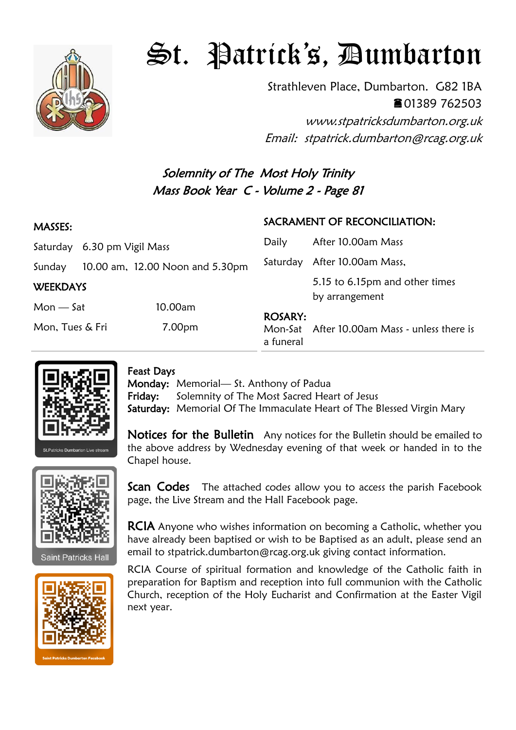

# St. Patrick's, Dumbarton

Strathleven Place, Dumbarton. G82 1BA 01389 762503

www.stpatricksdumbarton.org.uk Email: stpatrick.dumbarton@rcag.org.uk

# Solemnity of The Most Holy Trinity Mass Book Year C - Volume 2 - Page 81

#### MASSES: Saturday 6.30 pm Vigil Mass Sunday 10.00 am, 12.00 Noon and 5.30pm **WEEKDAYS** Mon — Sat 10.00am Mon, Tues & Fri 7.00pm SACRAMENT OF RECONCILIATION: Daily After 10.00am Mass Saturday After 10.00am Mass, 5.15 to 6.15pm and other times by arrangement ROSARY: Mon-Sat After 10.00am Mass - unless there is a funeral



### Feast Days

Monday: Memorial— St. Anthony of Padua Friday: Solemnity of The Most Sacred Heart of Jesus Saturday: Memorial Of The Immaculate Heart of The Blessed Virgin Mary

Notices for the Bulletin Any notices for the Bulletin should be emailed to the above address by Wednesday evening of that week or handed in to the Chapel house.



**Saint Patricks Hall** 



Scan Codes The attached codes allow you to access the parish Facebook page, the Live Stream and the Hall Facebook page.

**RCIA** Anyone who wishes information on becoming a Catholic, whether you have already been baptised or wish to be Baptised as an adult, please send an email to stpatrick.dumbarton@rcag.org.uk giving contact information.

RCIA Course of spiritual formation and knowledge of the Catholic faith in preparation for Baptism and reception into full communion with the Catholic Church, reception of the Holy Eucharist and Confirmation at the Easter Vigil next year.